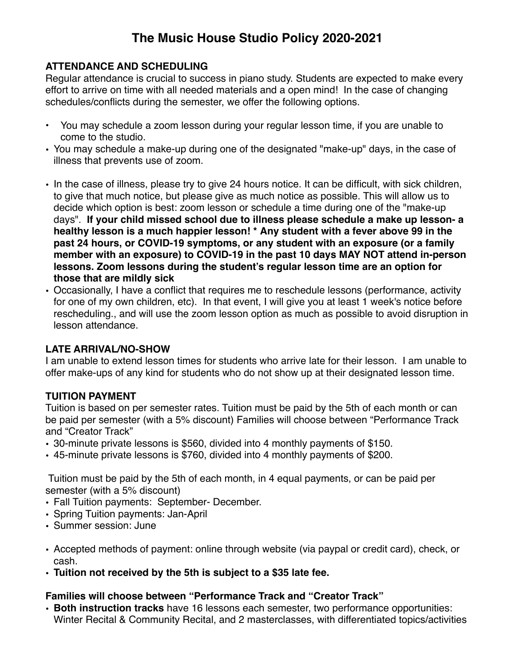# **The Music House Studio Policy 2020-2021**

## **ATTENDANCE AND SCHEDULING**

Regular attendance is crucial to success in piano study. Students are expected to make every effort to arrive on time with all needed materials and a open mind! In the case of changing schedules/conflicts during the semester, we offer the following options.

- You may schedule a zoom lesson during your regular lesson time, if you are unable to come to the studio.
- You may schedule a make-up during one of the designated "make-up" days, in the case of illness that prevents use of zoom.
- In the case of illness, please try to give 24 hours notice. It can be difficult, with sick children, to give that much notice, but please give as much notice as possible. This will allow us to decide which option is best: zoom lesson or schedule a time during one of the "make-up days". **If your child missed school due to illness please schedule a make up lesson- a healthy lesson is a much happier lesson! \* Any student with a fever above 99 in the past 24 hours, or COVID-19 symptoms, or any student with an exposure (or a family member with an exposure) to COVID-19 in the past 10 days MAY NOT attend in-person lessons. Zoom lessons during the student's regular lesson time are an option for those that are mildly sick**
- Occasionally, I have a conflict that requires me to reschedule lessons (performance, activity for one of my own children, etc). In that event, I will give you at least 1 week's notice before rescheduling., and will use the zoom lesson option as much as possible to avoid disruption in lesson attendance.

## **LATE ARRIVAL/NO-SHOW**

I am unable to extend lesson times for students who arrive late for their lesson. I am unable to offer make-ups of any kind for students who do not show up at their designated lesson time.

## **TUITION PAYMENT**

Tuition is based on per semester rates. Tuition must be paid by the 5th of each month or can be paid per semester (with a 5% discount) Families will choose between "Performance Track and "Creator Track"

- 30-minute private lessons is \$560, divided into 4 monthly payments of \$150.
- 45-minute private lessons is \$760, divided into 4 monthly payments of \$200.

Tuition must be paid by the 5th of each month, in 4 equal payments, or can be paid per semester (with a 5% discount)

- Fall Tuition payments: September- December.
- Spring Tuition payments: Jan-April
- Summer session: June
- Accepted methods of payment: online through website (via paypal or credit card), check, or cash.
- **• Tuition not received by the 5th is subject to a \$35 late fee.**

## **Families will choose between "Performance Track and "Creator Track"**

• **Both instruction tracks** have 16 lessons each semester, two performance opportunities: Winter Recital & Community Recital, and 2 masterclasses, with differentiated topics/activities